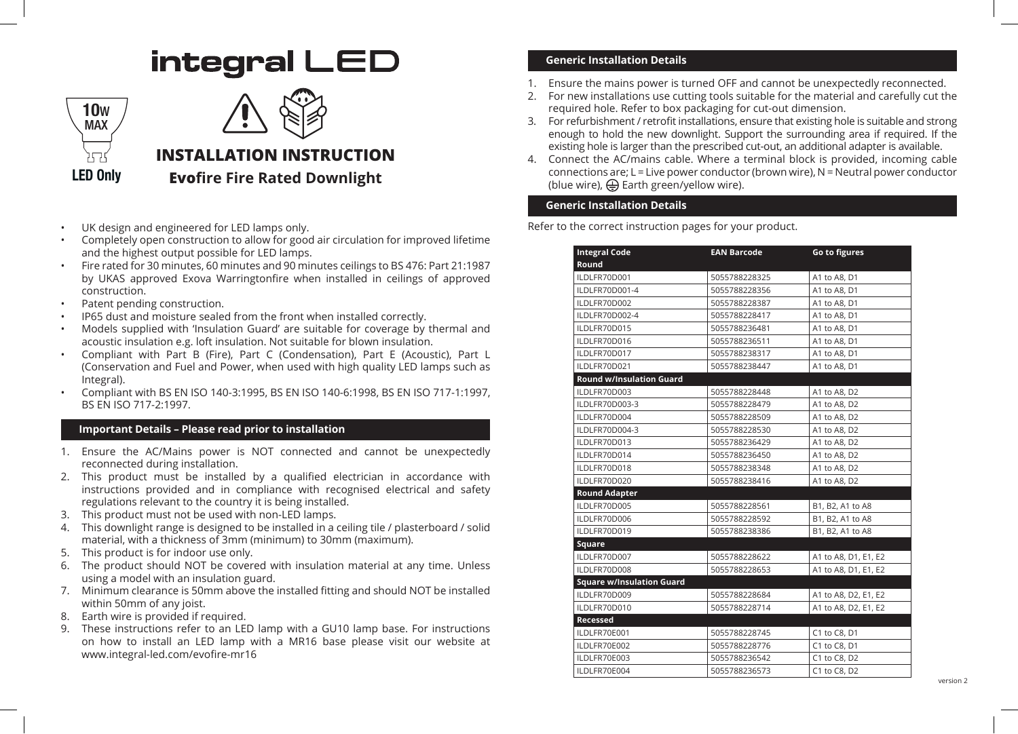# integral LED





## **INSTALLATION INSTRUCTION Evofire Fire Rated Downlight**

- UK design and engineered for LED lamps only.
- Completely open construction to allow for good air circulation for improved lifetime and the highest output possible for LED lamps.
- Fire rated for 30 minutes, 60 minutes and 90 minutes ceilings to BS 476: Part 21:1987 by UKAS approved Exova Warringtonfire when installed in ceilings of approved construction.
- Patent pending construction.
- IP65 dust and moisture sealed from the front when installed correctly.
- Models supplied with 'Insulation Guard' are suitable for coverage by thermal and acoustic insulation e.g. loft insulation. Not suitable for blown insulation.
- Compliant with Part B (Fire), Part C (Condensation), Part E (Acoustic), Part L (Conservation and Fuel and Power, when used with high quality LED lamps such as Integral).
- Compliant with BS EN ISO 140-3:1995, BS EN ISO 140-6:1998, BS EN ISO 717-1:1997, BS EN ISO 717-2:1997.

#### **Important Details - Please read prior to installation**

- 1. Ensure the AC/Mains power is NOT connected and cannot be unexpectedly reconnected during installation.
- 2. This product must be installed by a qualified electrician in accordance with instructions provided and in compliance with recognised electrical and safety regulations relevant to the country it is being installed.
- 3. This product must not be used with non-LED lamps.
- 4. This downlight range is designed to be installed in a ceiling tile / plasterboard / solid material, with a thickness of 3mm (minimum) to 30mm (maximum).
- 5. This product is for indoor use only.
- 6. The product should NOT be covered with insulation material at any time. Unless using a model with an insulation guard.
- 7. Minimum clearance is 50mm above the installed fitting and should NOT be installed within 50mm of any joist.
- 8. Earth wire is provided if required.
- 9. These instructions refer to an LED lamp with a GU10 lamp base. For instructions on how to install an LED lamp with a MR16 base please visit our website at www.integral-led.com/evofire-mr16

### **Generic Installation Details**

- 1. Ensure the mains power is turned OFF and cannot be unexpectedly reconnected.
- 2. For new installations use cutting tools suitable for the material and carefully cut the required hole. Refer to box packaging for cut-out dimension.
- 3. For refurbishment / retrofit installations, ensure that existing hole is suitable and strong enough to hold the new downlight. Support the surrounding area if required. If the existing hole is larger than the prescribed cut-out, an additional adapter is available.
- 4. Connect the AC/mains cable. Where a terminal block is provided, incoming cable connections are;  $L =$  Live power conductor (brown wire),  $N =$  Neutral power conductor (blue wire),  $\bigoplus$  Earth green/yellow wire).

#### **Generic Installation Details**

Refer to the correct instruction pages for your product.

| <b>Integral Code</b>             | <b>EAN Barcode</b> | Go to figures        |
|----------------------------------|--------------------|----------------------|
| Round                            |                    |                      |
| ILDLFR70D001                     | 5055788228325      | A1 to A8, D1         |
| ILDLFR70D001-4                   | 5055788228356      | A1 to A8, D1         |
| ILDLFR70D002                     | 5055788228387      | A1 to A8, D1         |
| ILDLFR70D002-4                   | 5055788228417      | A1 to A8, D1         |
| ILDLFR70D015                     | 5055788236481      | A1 to A8, D1         |
| ILDLFR70D016                     | 5055788236511      | A1 to A8, D1         |
| ILDLFR70D017                     | 5055788238317      | A1 to A8, D1         |
| ILDLFR70D021                     | 5055788238447      | A1 to A8, D1         |
| <b>Round w/Insulation Guard</b>  |                    |                      |
| ILDLFR70D003                     | 5055788228448      | A1 to A8, D2         |
| ILDLFR70D003-3                   | 5055788228479      | A1 to A8, D2         |
| ILDLFR70D004                     | 5055788228509      | A1 to A8, D2         |
| ILDLFR70D004-3                   | 5055788228530      | A1 to A8, D2         |
| ILDLFR70D013                     | 5055788236429      | A1 to A8, D2         |
| ILDLFR70D014                     | 5055788236450      | A1 to A8, D2         |
| ILDLFR70D018                     | 5055788238348      | A1 to A8, D2         |
| ILDLFR70D020                     | 5055788238416      | A1 to A8, D2         |
| <b>Round Adapter</b>             |                    |                      |
| ILDLFR70D005                     | 5055788228561      | B1, B2, A1 to A8     |
| ILDLFR70D006                     | 5055788228592      | B1, B2, A1 to A8     |
| ILDLFR70D019                     | 5055788238386      | B1, B2, A1 to A8     |
| Square                           |                    |                      |
| ILDLFR70D007                     | 5055788228622      | A1 to A8, D1, E1, E2 |
| ILDLFR70D008                     | 5055788228653      | A1 to A8, D1, E1, E2 |
| <b>Square w/Insulation Guard</b> |                    |                      |
| ILDLFR70D009                     | 5055788228684      | A1 to A8, D2, E1, E2 |
| ILDLFR70D010                     | 5055788228714      | A1 to A8, D2, E1, E2 |
| <b>Recessed</b>                  |                    |                      |
| ILDLFR70E001                     | 5055788228745      | C1 to C8, D1         |
| ILDLFR70E002                     | 5055788228776      | C1 to C8, D1         |
| ILDLFR70E003                     | 5055788236542      | C1 to C8, D2         |
| ILDLFR70E004                     | 5055788236573      | C1 to C8, D2         |